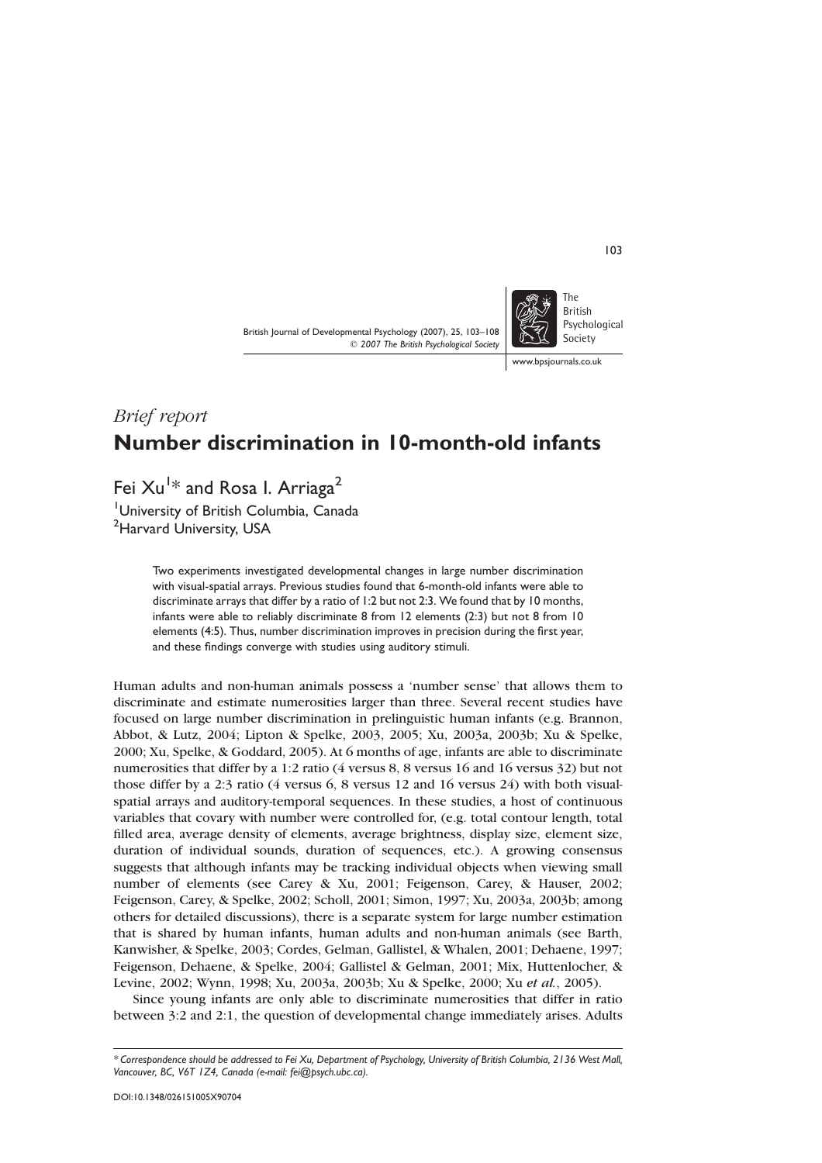British Journal of Developmental Psychology (2007), 25, 103–108  $Q$  2007 The British Psychological Society



www.bpsiournals.co.uk

# Brief report Number discrimination in 10-month-old infants

Fei  $\rm{Xu}^{1\ast}$  and Rosa I. Arriaga $^2$ 

<sup>1</sup>University of British Columbia, Canada <sup>2</sup>Harvard University, USA

> Two experiments investigated developmental changes in large number discrimination with visual-spatial arrays. Previous studies found that 6-month-old infants were able to discriminate arrays that differ by a ratio of 1:2 but not 2:3. We found that by 10 months, infants were able to reliably discriminate 8 from 12 elements (2:3) but not 8 from 10 elements (4:5). Thus, number discrimination improves in precision during the first year, and these findings converge with studies using auditory stimuli.

Human adults and non-human animals possess a 'number sense' that allows them to discriminate and estimate numerosities larger than three. Several recent studies have focused on large number discrimination in prelinguistic human infants (e.g. Brannon, Abbot, & Lutz, 2004; Lipton & Spelke, 2003, 2005; Xu, 2003a, 2003b; Xu & Spelke, 2000; Xu, Spelke, & Goddard, 2005). At 6 months of age, infants are able to discriminate numerosities that differ by a 1:2 ratio (4 versus 8, 8 versus 16 and 16 versus 32) but not those differ by a 2:3 ratio (4 versus 6, 8 versus 12 and 16 versus 24) with both visualspatial arrays and auditory-temporal sequences. In these studies, a host of continuous variables that covary with number were controlled for, (e.g. total contour length, total filled area, average density of elements, average brightness, display size, element size, duration of individual sounds, duration of sequences, etc.). A growing consensus suggests that although infants may be tracking individual objects when viewing small number of elements (see Carey & Xu, 2001; Feigenson, Carey, & Hauser, 2002; Feigenson, Carey, & Spelke, 2002; Scholl, 2001; Simon, 1997; Xu, 2003a, 2003b; among others for detailed discussions), there is a separate system for large number estimation that is shared by human infants, human adults and non-human animals (see Barth, Kanwisher, & Spelke, 2003; Cordes, Gelman, Gallistel, & Whalen, 2001; Dehaene, 1997; Feigenson, Dehaene, & Spelke, 2004; Gallistel & Gelman, 2001; Mix, Huttenlocher, & Levine, 2002; Wynn, 1998; Xu, 2003a, 2003b; Xu & Spelke, 2000; Xu et al., 2005).

Since young infants are only able to discriminate numerosities that differ in ratio between 3:2 and 2:1, the question of developmental change immediately arises. Adults

103

<sup>\*</sup> Correspondence should be addressed to Fei Xu, Department of Psychology, University of British Columbia, 2136 West Mall, Vancouver, BC, V6T 1Z4, Canada (e-mail: fei@psych.ubc.ca).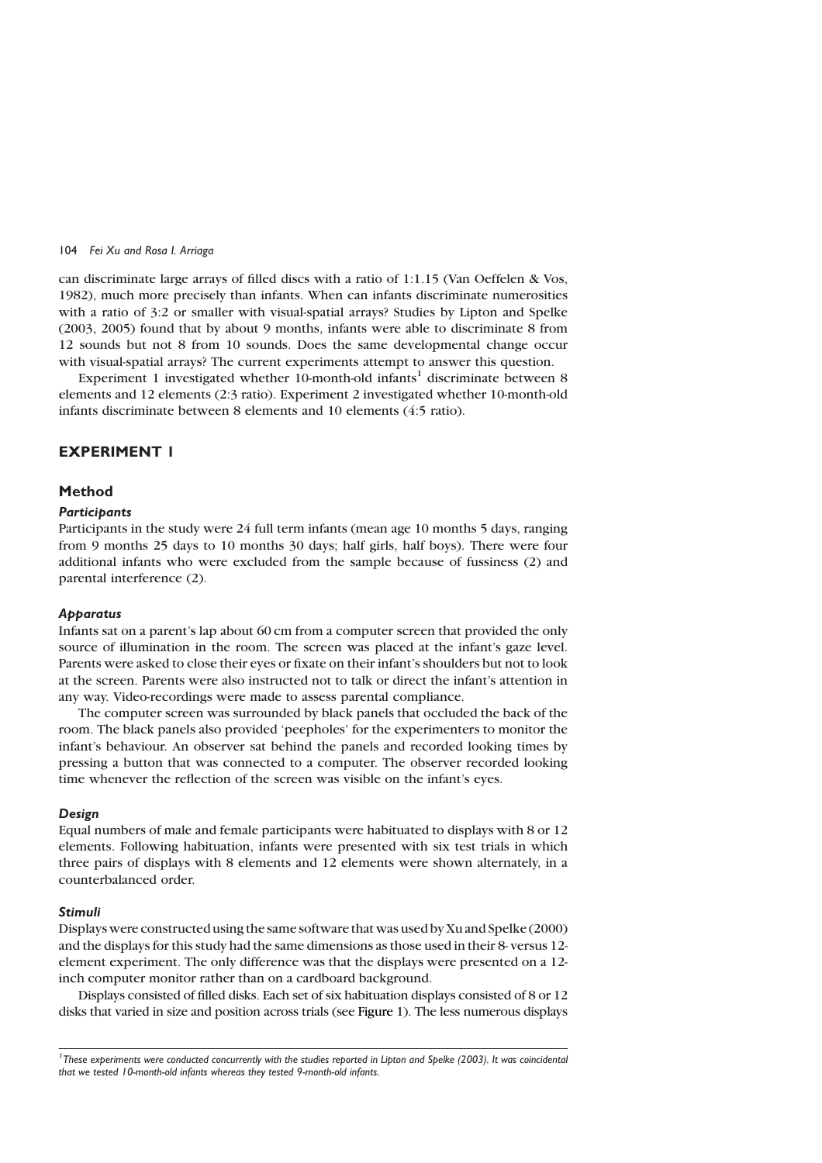#### 104 Fei Xu and Rosa I. Arriaga

can discriminate large arrays of filled discs with a ratio of 1:1.15 (Van Oeffelen & Vos, 1982), much more precisely than infants. When can infants discriminate numerosities with a ratio of 3:2 or smaller with visual-spatial arrays? Studies by Lipton and Spelke (2003, 2005) found that by about 9 months, infants were able to discriminate 8 from 12 sounds but not 8 from 10 sounds. Does the same developmental change occur with visual-spatial arrays? The current experiments attempt to answer this question.

Experiment 1 investigated whether 10-month-old infants<sup>1</sup> discriminate between 8 elements and 12 elements (2:3 ratio). Experiment 2 investigated whether 10-month-old infants discriminate between 8 elements and 10 elements (4:5 ratio).

# EXPERIMENT 1

#### Method

## **Particibants**

Participants in the study were 24 full term infants (mean age 10 months 5 days, ranging from 9 months 25 days to 10 months 30 days; half girls, half boys). There were four additional infants who were excluded from the sample because of fussiness (2) and parental interference (2).

## **Apparatus**

Infants sat on a parent's lap about 60 cm from a computer screen that provided the only source of illumination in the room. The screen was placed at the infant's gaze level. Parents were asked to close their eyes or fixate on their infant's shoulders but not to look at the screen. Parents were also instructed not to talk or direct the infant's attention in any way. Video-recordings were made to assess parental compliance.

The computer screen was surrounded by black panels that occluded the back of the room. The black panels also provided 'peepholes' for the experimenters to monitor the infant's behaviour. An observer sat behind the panels and recorded looking times by pressing a button that was connected to a computer. The observer recorded looking time whenever the reflection of the screen was visible on the infant's eyes.

## Design

Equal numbers of male and female participants were habituated to displays with 8 or 12 elements. Following habituation, infants were presented with six test trials in which three pairs of displays with 8 elements and 12 elements were shown alternately, in a counterbalanced order.

## Stimuli

Displays were constructed using the same software that was used by Xu and Spelke (2000) and the displays for this study had the same dimensions as those used in their 8- versus 12 element experiment. The only difference was that the displays were presented on a 12 inch computer monitor rather than on a cardboard background.

Displays consisted of filled disks. Each set of six habituation displays consisted of 8 or 12 disks that varied in size and position across trials (see Figure 1). The less numerous displays

<sup>1</sup> These experiments were conducted concurrently with the studies reported in Lipton and Spelke (2003). It was coincidental that we tested 10-month-old infants whereas they tested 9-month-old infants.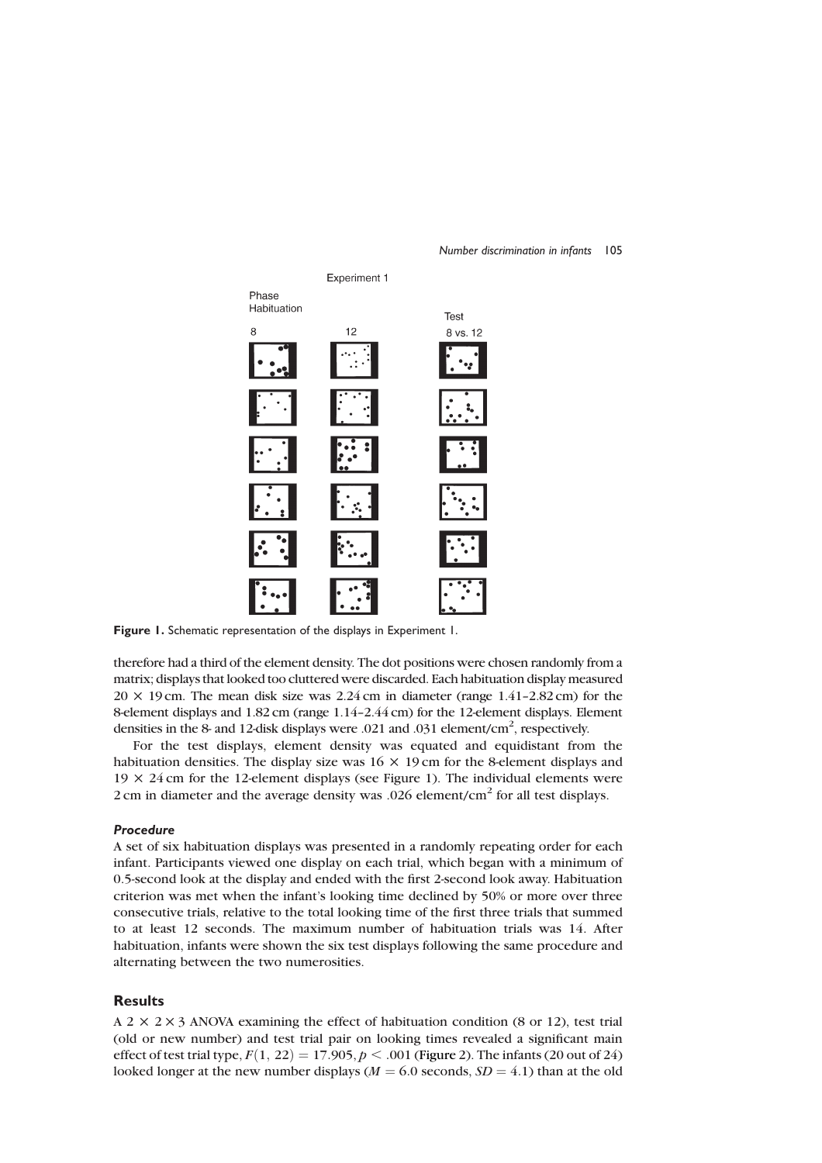

#### Number discrimination in infants 105

Figure 1. Schematic representation of the displays in Experiment 1.

therefore had a third of the element density. The dot positions were chosen randomly from a matrix; displays that looked too cluttered were discarded. Each habituation display measured  $20 \times 19$  cm. The mean disk size was  $2.24$  cm in diameter (range  $1.41$ – $2.82$  cm) for the 8-element displays and 1.82 cm (range 1.14–2.44 cm) for the 12-element displays. Element densities in the 8- and 12-disk displays were .021 and .031 element/cm<sup>2</sup>, respectively.

For the test displays, element density was equated and equidistant from the habituation densities. The display size was  $16 \times 19$  cm for the 8-element displays and  $19 \times 24$  cm for the 12-element displays (see Figure 1). The individual elements were 2 cm in diameter and the average density was .026 element/ $\text{cm}^2$  for all test displays.

#### Procedure

A set of six habituation displays was presented in a randomly repeating order for each infant. Participants viewed one display on each trial, which began with a minimum of 0.5-second look at the display and ended with the first 2-second look away. Habituation criterion was met when the infant's looking time declined by 50% or more over three consecutive trials, relative to the total looking time of the first three trials that summed to at least 12 seconds. The maximum number of habituation trials was 14. After habituation, infants were shown the six test displays following the same procedure and alternating between the two numerosities.

## Results

 $A$  2  $\times$  2  $\times$  3 ANOVA examining the effect of habituation condition (8 or 12), test trial (old or new number) and test trial pair on looking times revealed a significant main effect of test trial type,  $F(1, 22) = 17.905$ ,  $p < .001$  (Figure 2). The infants (20 out of 24) looked longer at the new number displays ( $M = 6.0$  seconds,  $SD = 4.1$ ) than at the old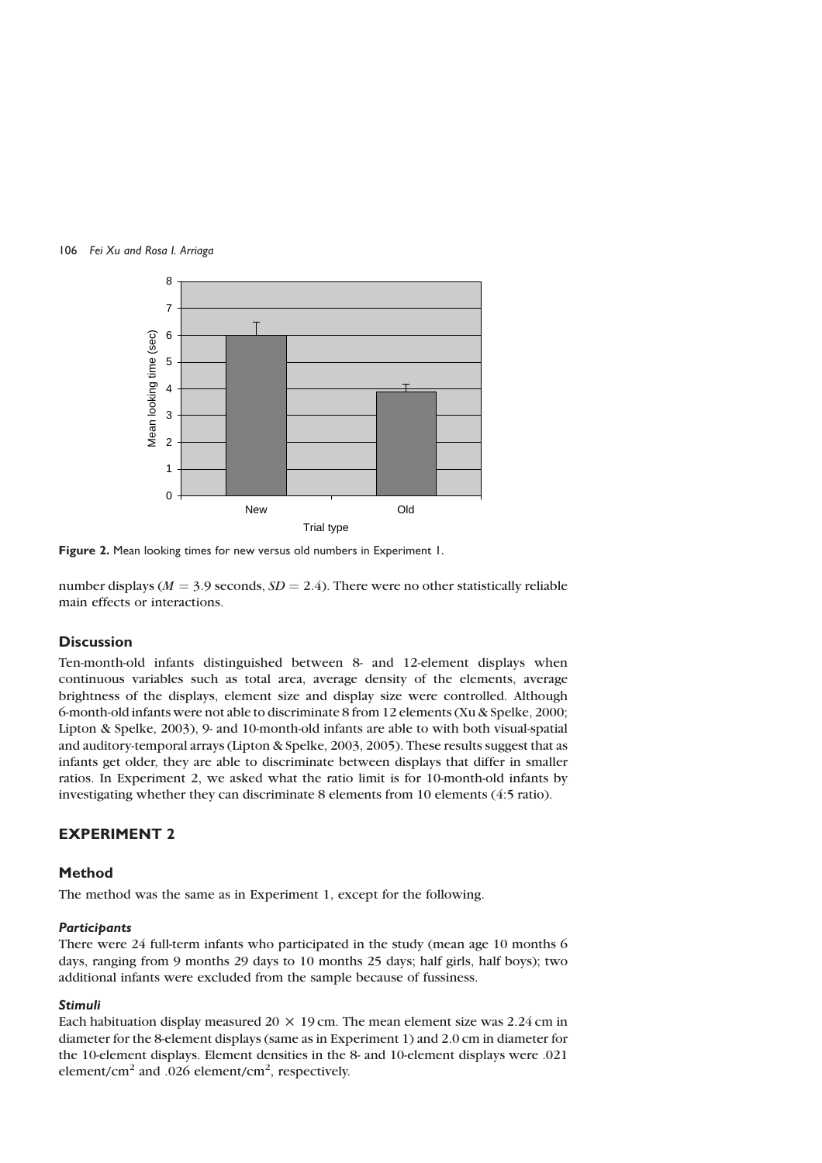



Figure 2. Mean looking times for new versus old numbers in Experiment 1.

number displays ( $M = 3.9$  seconds,  $SD = 2.4$ ). There were no other statistically reliable main effects or interactions.

# **Discussion**

Ten-month-old infants distinguished between 8- and 12-element displays when continuous variables such as total area, average density of the elements, average brightness of the displays, element size and display size were controlled. Although 6-month-old infants were not able to discriminate 8 from 12 elements (Xu & Spelke, 2000; Lipton & Spelke, 2003), 9- and 10-month-old infants are able to with both visual-spatial and auditory-temporal arrays (Lipton & Spelke, 2003, 2005). These results suggest that as infants get older, they are able to discriminate between displays that differ in smaller ratios. In Experiment 2, we asked what the ratio limit is for 10-month-old infants by investigating whether they can discriminate 8 elements from 10 elements (4:5 ratio).

## EXPERIMENT 2

## Method

The method was the same as in Experiment 1, except for the following.

## **Participants**

There were 24 full-term infants who participated in the study (mean age 10 months 6 days, ranging from 9 months 29 days to 10 months 25 days; half girls, half boys); two additional infants were excluded from the sample because of fussiness.

## Stimuli

Each habituation display measured 20  $\times$  19 cm. The mean element size was 2.24 cm in diameter for the 8-element displays (same as in Experiment 1) and 2.0 cm in diameter for the 10-element displays. Element densities in the 8- and 10-element displays were .021 element/cm<sup>2</sup> and .026 element/cm<sup>2</sup>, respectively.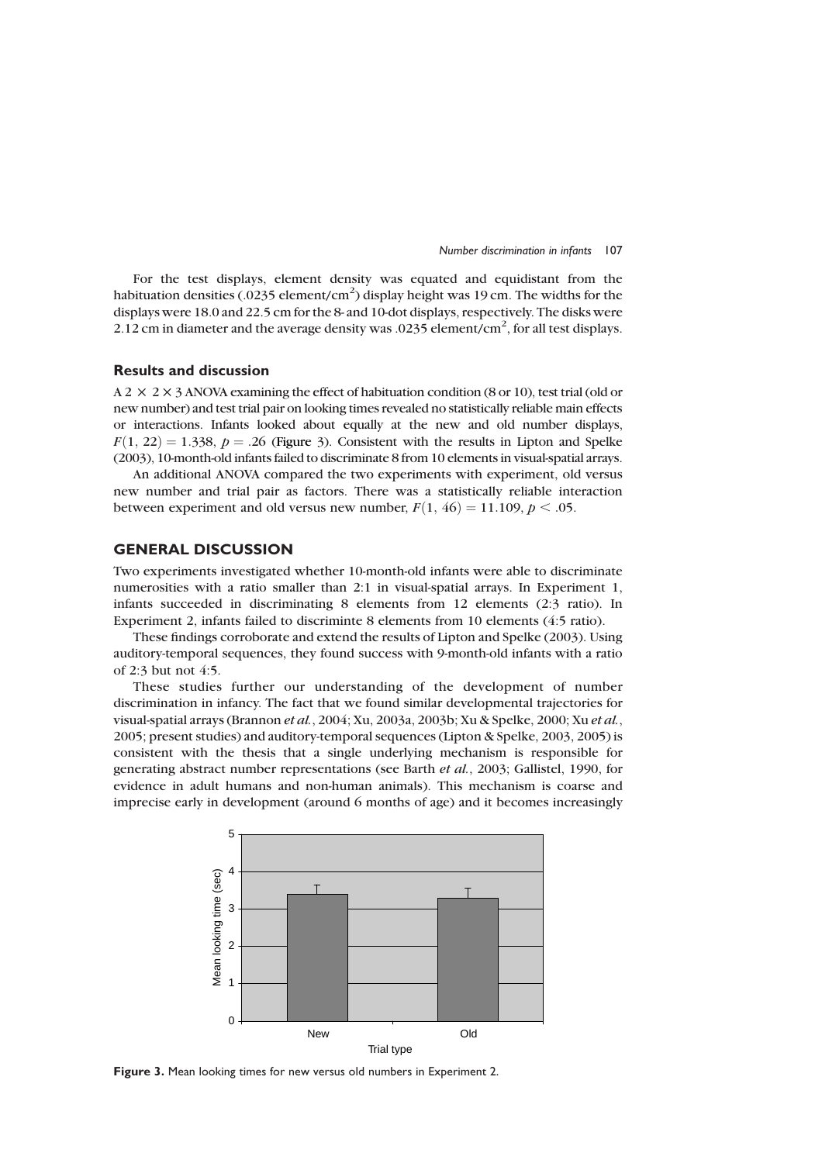

For the test displays, element density was equated and equidistant from the habituation densities (.0235 element/cm<sup>2</sup>) display height was 19 cm. The widths for the displays were 18.0 and 22.5 cm for the 8- and 10-dot displays, respectively. The disks were 2.12 cm in diameter and the average density was .0235 element/cm<sup>2</sup>, for all test displays.

## Results and discussion

 $A$  2  $\times$  2  $\times$  3 ANOVA examining the effect of habituation condition (8 or 10), test trial (old or new number) and test trial pair on looking times revealed no statistically reliable main effects or interactions. Infants looked about equally at the new and old number displays,  $F(1, 22) = 1.338$ ,  $p = .26$  (Figure 3). Consistent with the results in Lipton and Spelke (2003), 10-month-old infants failed to discriminate 8 from 10 elements in visual-spatial arrays.

An additional ANOVA compared the two experiments with experiment, old versus new number and trial pair as factors. There was a statistically reliable interaction between experiment and old versus new number,  $F(1, 46) = 11.109$ ,  $p < .05$ .

## GENERAL DISCUSSION

Two experiments investigated whether 10-month-old infants were able to discriminate numerosities with a ratio smaller than 2:1 in visual-spatial arrays. In Experiment 1, infants succeeded in discriminating 8 elements from 12 elements (2:3 ratio). In Experiment 2, infants failed to discriminte 8 elements from 10 elements (4:5 ratio).

These findings corroborate and extend the results of Lipton and Spelke (2003). Using auditory-temporal sequences, they found success with 9-month-old infants with a ratio of 2:3 but not 4:5.

These studies further our understanding of the development of number discrimination in infancy. The fact that we found similar developmental trajectories for visual-spatial arrays (Brannon et al., 2004; Xu, 2003a, 2003b; Xu & Spelke, 2000; Xu et al., 2005; present studies) and auditory-temporal sequences (Lipton & Spelke, 2003, 2005) is consistent with the thesis that a single underlying mechanism is responsible for generating abstract number representations (see Barth et al., 2003; Gallistel, 1990, for evidence in adult humans and non-human animals). This mechanism is coarse and imprecise early in development (around 6 months of age) and it becomes increasingly



Figure 3. Mean looking times for new versus old numbers in Experiment 2.